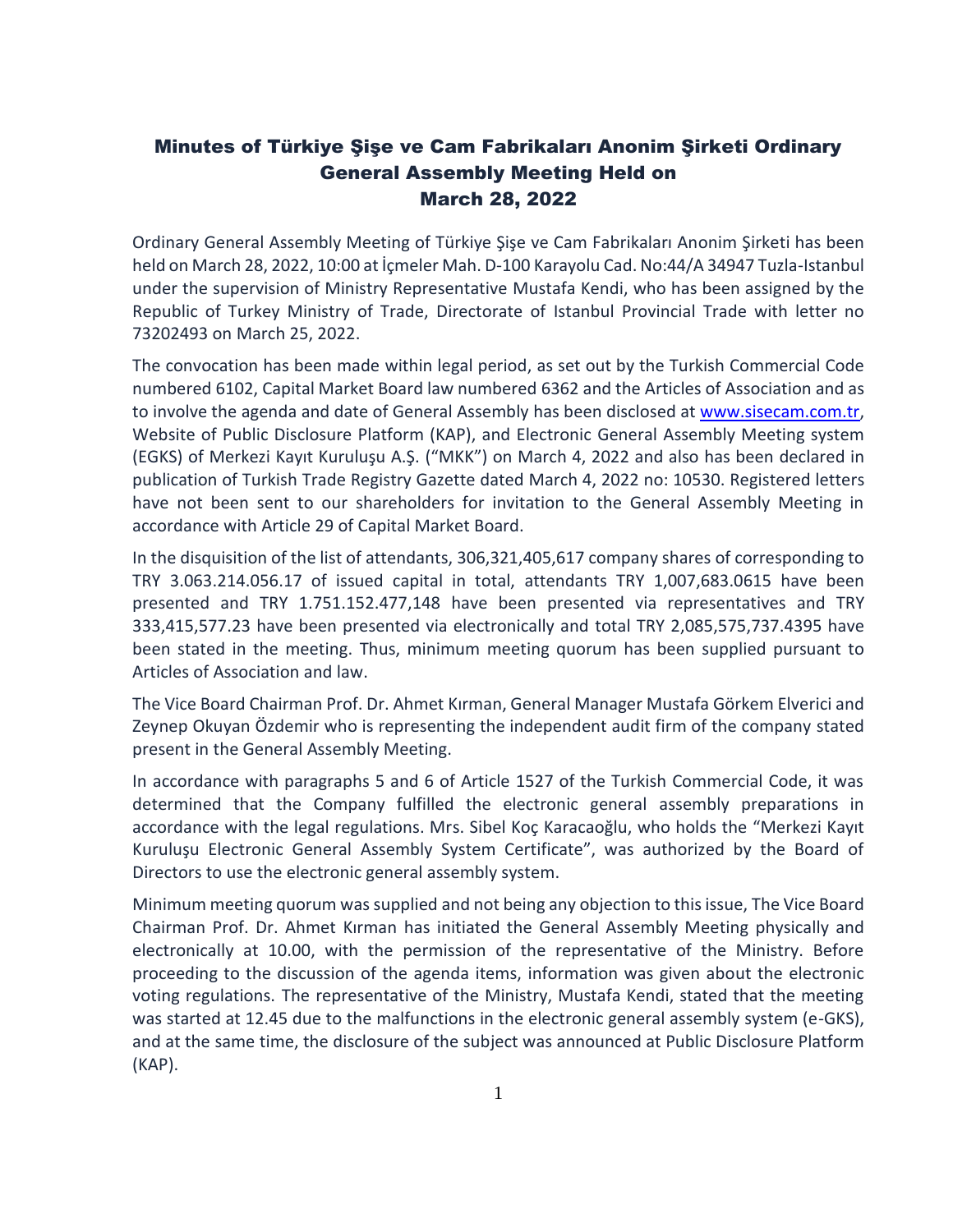## Minutes of Türkiye Şişe ve Cam Fabrikaları Anonim Şirketi Ordinary General Assembly Meeting Held on March 28, 2022

Ordinary General Assembly Meeting of Türkiye Şişe ve Cam Fabrikaları Anonim Şirketi has been held on March 28, 2022, 10:00 at İçmeler Mah. D-100 Karayolu Cad. No:44/A 34947 Tuzla-Istanbul under the supervision of Ministry Representative Mustafa Kendi, who has been assigned by the Republic of Turkey Ministry of Trade, Directorate of Istanbul Provincial Trade with letter no 73202493 on March 25, 2022.

The convocation has been made within legal period, as set out by the Turkish Commercial Code numbered 6102, Capital Market Board law numbered 6362 and the Articles of Association and as to involve the agenda and date of General Assembly has been disclosed at [www.sisecam.com.tr,](http://www.sisecam.com.tr/) Website of Public Disclosure Platform (KAP), and Electronic General Assembly Meeting system (EGKS) of Merkezi Kayıt Kuruluşu A.Ş. ("MKK") on March 4, 2022 and also has been declared in publication of Turkish Trade Registry Gazette dated March 4, 2022 no: 10530. Registered letters have not been sent to our shareholders for invitation to the General Assembly Meeting in accordance with Article 29 of Capital Market Board.

In the disquisition of the list of attendants, 306,321,405,617 company shares of corresponding to TRY 3.063.214.056.17 of issued capital in total, attendants TRY 1,007,683.0615 have been presented and TRY 1.751.152.477,148 have been presented via representatives and TRY 333,415,577.23 have been presented via electronically and total TRY 2,085,575,737.4395 have been stated in the meeting. Thus, minimum meeting quorum has been supplied pursuant to Articles of Association and law.

The Vice Board Chairman Prof. Dr. Ahmet Kırman, General Manager Mustafa Görkem Elverici and Zeynep Okuyan Özdemir who is representing the independent audit firm of the company stated present in the General Assembly Meeting.

In accordance with paragraphs 5 and 6 of Article 1527 of the Turkish Commercial Code, it was determined that the Company fulfilled the electronic general assembly preparations in accordance with the legal regulations. Mrs. Sibel Koç Karacaoğlu, who holds the "Merkezi Kayıt Kuruluşu Electronic General Assembly System Certificate", was authorized by the Board of Directors to use the electronic general assembly system.

Minimum meeting quorum was supplied and not being any objection to this issue, The Vice Board Chairman Prof. Dr. Ahmet Kırman has initiated the General Assembly Meeting physically and electronically at 10.00, with the permission of the representative of the Ministry. Before proceeding to the discussion of the agenda items, information was given about the electronic voting regulations. The representative of the Ministry, Mustafa Kendi, stated that the meeting was started at 12.45 due to the malfunctions in the electronic general assembly system (e-GKS), and at the same time, the disclosure of the subject was announced at Public Disclosure Platform (KAP).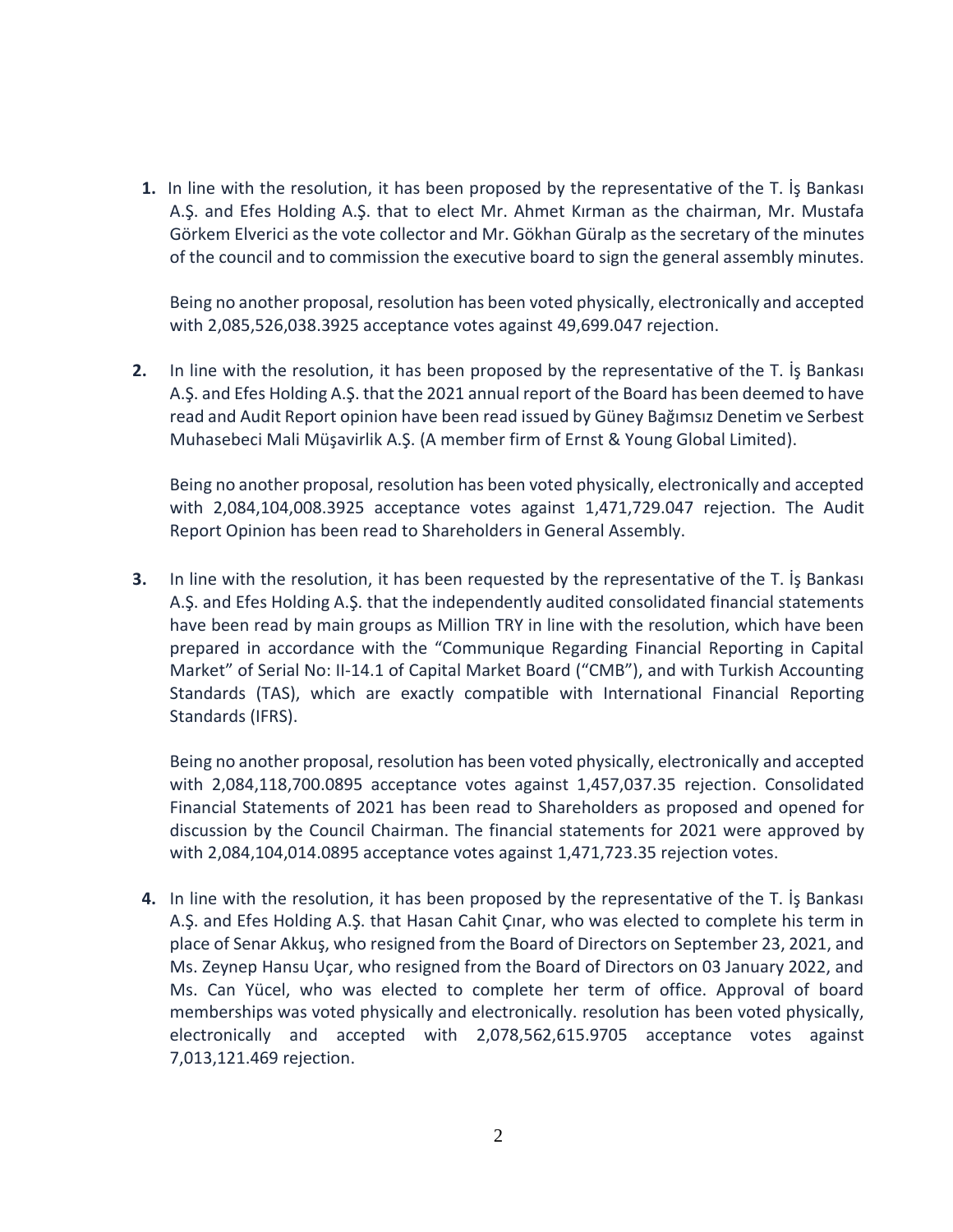**1.** In line with the resolution, it has been proposed by the representative of the T. İş Bankası A.Ş. and Efes Holding A.Ş. that to elect Mr. Ahmet Kırman as the chairman, Mr. Mustafa Görkem Elverici as the vote collector and Mr. Gökhan Güralp as the secretary of the minutes of the council and to commission the executive board to sign the general assembly minutes.

Being no another proposal, resolution has been voted physically, electronically and accepted with 2,085,526,038.3925 acceptance votes against 49,699.047 rejection.

**2.** In line with the resolution, it has been proposed by the representative of the T. İş Bankası A.Ş. and Efes Holding A.Ş. that the 2021 annual report of the Board has been deemed to have read and Audit Report opinion have been read issued by Güney Bağımsız Denetim ve Serbest Muhasebeci Mali Müşavirlik A.Ş. (A member firm of Ernst & Young Global Limited).

Being no another proposal, resolution has been voted physically, electronically and accepted with 2,084,104,008.3925 acceptance votes against 1,471,729.047 rejection. The Audit Report Opinion has been read to Shareholders in General Assembly.

**3.** In line with the resolution, it has been requested by the representative of the T. İş Bankası A.Ş. and Efes Holding A.Ş. that the independently audited consolidated financial statements have been read by main groups as Million TRY in line with the resolution, which have been prepared in accordance with the "Communique Regarding Financial Reporting in Capital Market" of Serial No: II-14.1 of Capital Market Board ("CMB"), and with Turkish Accounting Standards (TAS), which are exactly compatible with International Financial Reporting Standards (IFRS).

Being no another proposal, resolution has been voted physically, electronically and accepted with 2,084,118,700.0895 acceptance votes against 1,457,037.35 rejection. Consolidated Financial Statements of 2021 has been read to Shareholders as proposed and opened for discussion by the Council Chairman. The financial statements for 2021 were approved by with 2,084,104,014.0895 acceptance votes against 1,471,723.35 rejection votes.

**4.** In line with the resolution, it has been proposed by the representative of the T. İş Bankası A.Ş. and Efes Holding A.Ş. that Hasan Cahit Çınar, who was elected to complete his term in place of Senar Akkuş, who resigned from the Board of Directors on September 23, 2021, and Ms. Zeynep Hansu Uçar, who resigned from the Board of Directors on 03 January 2022, and Ms. Can Yücel, who was elected to complete her term of office. Approval of board memberships was voted physically and electronically. resolution has been voted physically, electronically and accepted with 2,078,562,615.9705 acceptance votes against 7,013,121.469 rejection.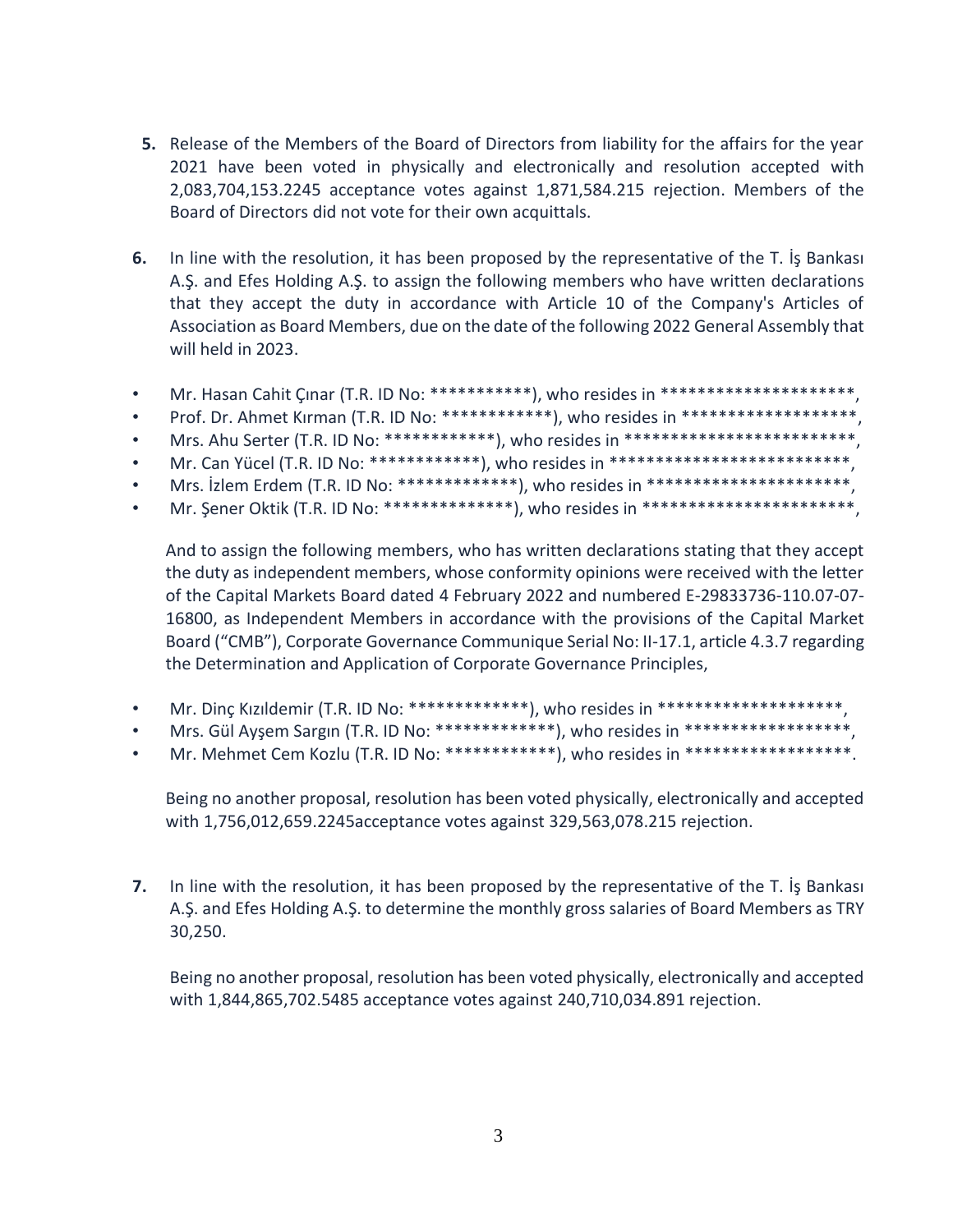- **5.** Release of the Members of the Board of Directors from liability for the affairs for the year 2021 have been voted in physically and electronically and resolution accepted with 2,083,704,153.2245 acceptance votes against 1,871,584.215 rejection. Members of the Board of Directors did not vote for their own acquittals.
- **6.** In line with the resolution, it has been proposed by the representative of the T. İş Bankası A.Ş. and Efes Holding A.Ş. to assign the following members who have written declarations that they accept the duty in accordance with Article 10 of the Company's Articles of Association as Board Members, due on the date of the following 2022 General Assembly that will held in 2023.
- Mr. Hasan Cahit Çınar (T.R. ID No: \*\*\*\*\*\*\*\*\*\*\*), who resides in \*\*\*\*\*\*\*\*\*\*\*\*\*\*\*\*\*\*\*\*\*\*\*\*,
- Prof. Dr. Ahmet Kırman (T.R. ID No: \*\*\*\*\*\*\*\*\*\*\*\*\*), who resides in \*\*\*\*\*\*\*\*\*\*\*\*\*\*\*\*\*\*\*\*\*.
- Mrs. Ahu Serter (T.R. ID No: \*\*\*\*\*\*\*\*\*\*\*\*\*), who resides in \*\*\*\*\*\*\*\*\*\*\*\*\*\*\*\*\*\*\*\*\*\*\*\*\*\*\*\*,
- Mr. Can Yücel (T.R. ID No: \*\*\*\*\*\*\*\*\*\*\*\*\*), who resides in \*\*\*\*\*\*\*\*\*\*\*\*\*\*\*\*\*\*\*\*\*\*\*\*\*\*\*\*,
- Mrs. İzlem Erdem (T.R. ID No: \*\*\*\*\*\*\*\*\*\*\*\*\*\*), who resides in \*\*\*\*\*\*\*\*\*\*\*\*\*\*\*\*\*\*\*\*\*\*\*\*\*,
- Mr. Şener Oktik (T.R. ID No: \*\*\*\*\*\*\*\*\*\*\*\*\*\*\*), who resides in \*\*\*\*\*\*\*\*\*\*\*\*\*\*\*\*\*\*\*\*\*\*\*\*\*,

And to assign the following members, who has written declarations stating that they accept the duty as independent members, whose conformity opinions were received with the letter of the Capital Markets Board dated 4 February 2022 and numbered E-29833736-110.07-07- 16800, as Independent Members in accordance with the provisions of the Capital Market Board ("CMB"), Corporate Governance Communique Serial No: II-17.1, article 4.3.7 regarding the Determination and Application of Corporate Governance Principles,

- Mr. Dinç Kızıldemir (T.R. ID No: \*\*\*\*\*\*\*\*\*\*\*\*\*), who resides in \*\*\*\*\*\*\*\*\*\*\*\*\*\*\*\*\*\*\*\*\*\*\*,
- Mrs. Gül Ayşem Sargın (T.R. ID No: \*\*\*\*\*\*\*\*\*\*\*\*\*\*), who resides in \*\*\*\*\*\*\*\*\*\*\*\*\*\*\*\*\*\*\*\*,
- Mr. Mehmet Cem Kozlu (T.R. ID No: \*\*\*\*\*\*\*\*\*\*\*\*), who resides in \*\*\*\*\*\*\*\*\*\*\*\*\*\*\*\*\*\*\*.

Being no another proposal, resolution has been voted physically, electronically and accepted with 1,756,012,659.2245acceptance votes against 329,563,078.215 rejection.

**7.** In line with the resolution, it has been proposed by the representative of the T. İş Bankası A.Ş. and Efes Holding A.Ş. to determine the monthly gross salaries of Board Members as TRY 30,250.

Being no another proposal, resolution has been voted physically, electronically and accepted with 1,844,865,702.5485 acceptance votes against 240,710,034.891 rejection.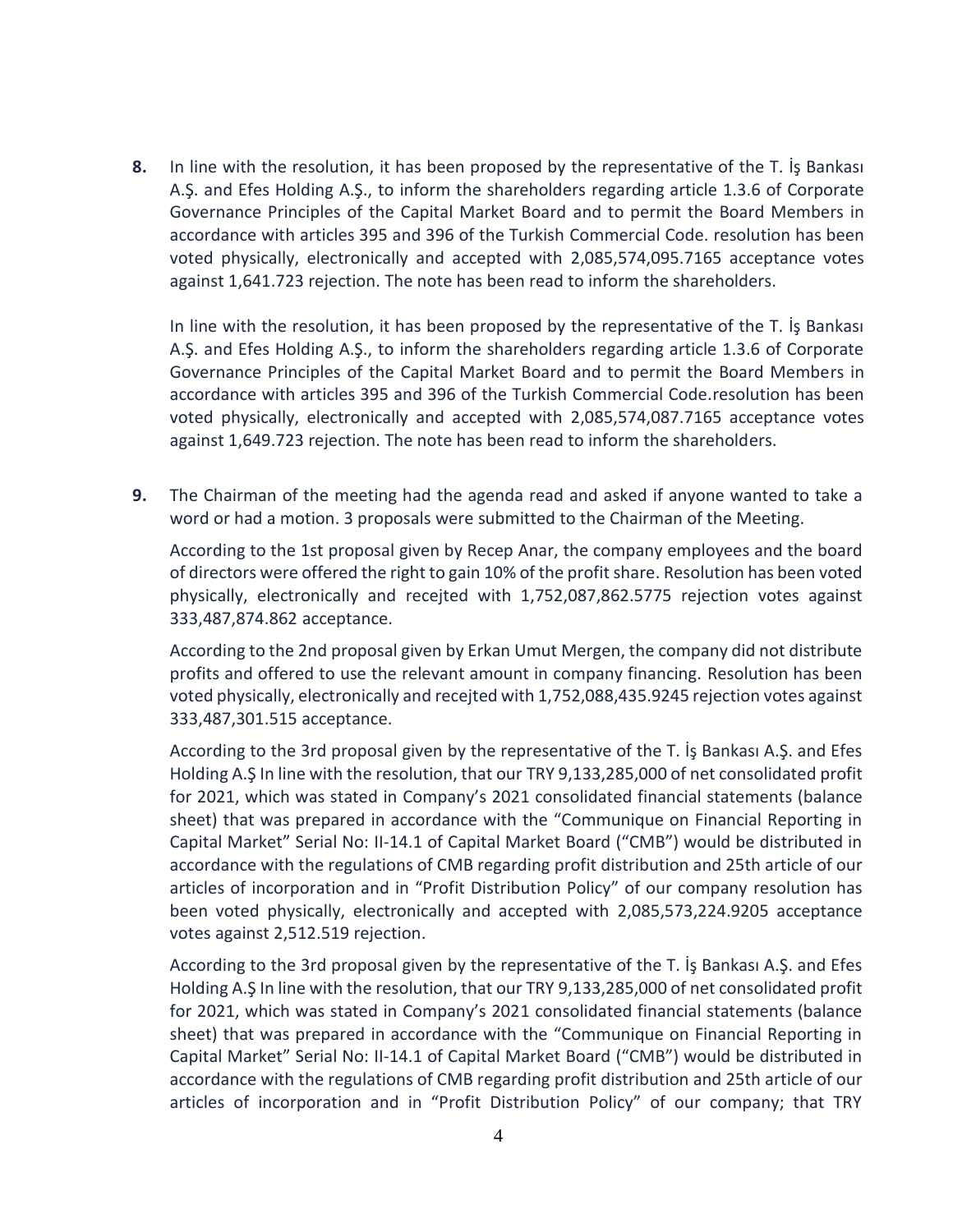**8.** In line with the resolution, it has been proposed by the representative of the T. İş Bankası A.Ş. and Efes Holding A.Ş., to inform the shareholders regarding article 1.3.6 of Corporate Governance Principles of the Capital Market Board and to permit the Board Members in accordance with articles 395 and 396 of the Turkish Commercial Code. resolution has been voted physically, electronically and accepted with 2,085,574,095.7165 acceptance votes against 1,641.723 rejection. The note has been read to inform the shareholders.

In line with the resolution, it has been proposed by the representative of the T. İş Bankası A.Ş. and Efes Holding A.Ş., to inform the shareholders regarding article 1.3.6 of Corporate Governance Principles of the Capital Market Board and to permit the Board Members in accordance with articles 395 and 396 of the Turkish Commercial Code.resolution has been voted physically, electronically and accepted with 2,085,574,087.7165 acceptance votes against 1,649.723 rejection. The note has been read to inform the shareholders.

**9.** The Chairman of the meeting had the agenda read and asked if anyone wanted to take a word or had a motion. 3 proposals were submitted to the Chairman of the Meeting.

According to the 1st proposal given by Recep Anar, the company employees and the board of directors were offered the right to gain 10% of the profit share. Resolution has been voted physically, electronically and recejted with 1,752,087,862.5775 rejection votes against 333,487,874.862 acceptance.

According to the 2nd proposal given by Erkan Umut Mergen, the company did not distribute profits and offered to use the relevant amount in company financing. Resolution has been voted physically, electronically and recejted with 1,752,088,435.9245 rejection votes against 333,487,301.515 acceptance.

According to the 3rd proposal given by the representative of the T. İş Bankası A.Ş. and Efes Holding A.Ş In line with the resolution, that our TRY 9,133,285,000 of net consolidated profit for 2021, which was stated in Company's 2021 consolidated financial statements (balance sheet) that was prepared in accordance with the "Communique on Financial Reporting in Capital Market" Serial No: II-14.1 of Capital Market Board ("CMB") would be distributed in accordance with the regulations of CMB regarding profit distribution and 25th article of our articles of incorporation and in "Profit Distribution Policy" of our company resolution has been voted physically, electronically and accepted with 2,085,573,224.9205 acceptance votes against 2,512.519 rejection.

According to the 3rd proposal given by the representative of the T. İş Bankası A.Ş. and Efes Holding A.Ş In line with the resolution, that our TRY 9,133,285,000 of net consolidated profit for 2021, which was stated in Company's 2021 consolidated financial statements (balance sheet) that was prepared in accordance with the "Communique on Financial Reporting in Capital Market" Serial No: II-14.1 of Capital Market Board ("CMB") would be distributed in accordance with the regulations of CMB regarding profit distribution and 25th article of our articles of incorporation and in "Profit Distribution Policy" of our company; that TRY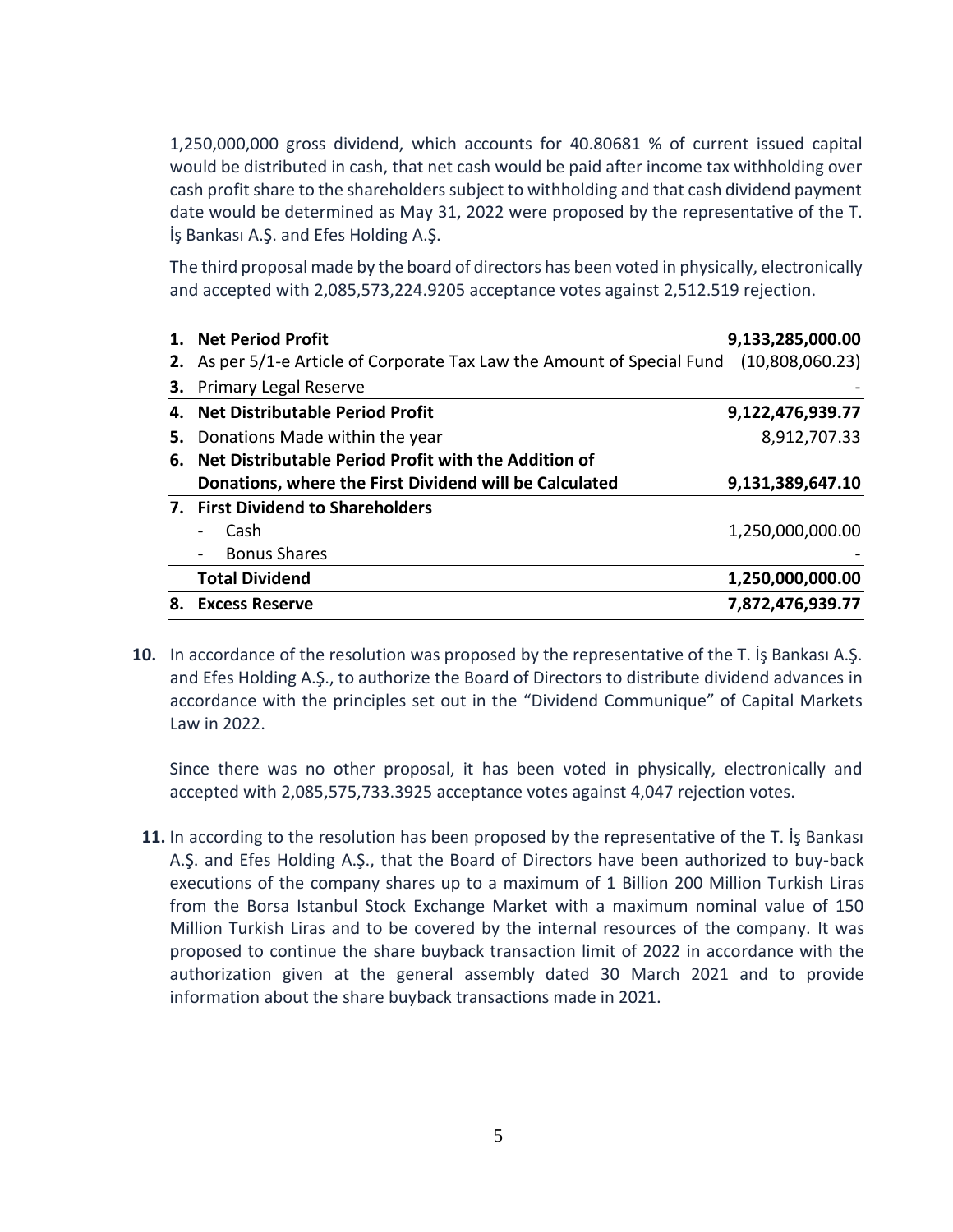1,250,000,000 gross dividend, which accounts for 40.80681 % of current issued capital would be distributed in cash, that net cash would be paid after income tax withholding over cash profit share to the shareholders subject to withholding and that cash dividend payment date would be determined as May 31, 2022 were proposed by the representative of the T. İş Bankası A.Ş. and Efes Holding A.Ş.

The third proposal made by the board of directors has been voted in physically, electronically and accepted with 2,085,573,224.9205 acceptance votes against 2,512.519 rejection.

|    | <b>Net Period Profit</b>                                             | 9,133,285,000.00 |
|----|----------------------------------------------------------------------|------------------|
| 2. | As per 5/1-e Article of Corporate Tax Law the Amount of Special Fund | (10,808,060.23)  |
|    | <b>3.</b> Primary Legal Reserve                                      |                  |
|    | 4. Net Distributable Period Profit                                   | 9,122,476,939.77 |
| 5. | Donations Made within the year                                       | 8,912,707.33     |
| 6. | Net Distributable Period Profit with the Addition of                 |                  |
|    | Donations, where the First Dividend will be Calculated               | 9,131,389,647.10 |
|    | 7. First Dividend to Shareholders                                    |                  |
|    | Cash<br>$\qquad \qquad$                                              | 1,250,000,000.00 |
|    | <b>Bonus Shares</b>                                                  |                  |
|    | <b>Total Dividend</b>                                                | 1,250,000,000.00 |
| 8. | <b>Excess Reserve</b>                                                | 7,872,476,939.77 |

**10.** In accordance of the resolution was proposed by the representative of the T. İş Bankası A.Ş. and Efes Holding A.Ş., to authorize the Board of Directors to distribute dividend advances in accordance with the principles set out in the "Dividend Communique" of Capital Markets Law in 2022.

Since there was no other proposal, it has been voted in physically, electronically and accepted with 2,085,575,733.3925 acceptance votes against 4,047 rejection votes.

**11.** In according to the resolution has been proposed by the representative of the T. İş Bankası A.Ş. and Efes Holding A.Ş., that the Board of Directors have been authorized to buy-back executions of the company shares up to a maximum of 1 Billion 200 Million Turkish Liras from the Borsa Istanbul Stock Exchange Market with a maximum nominal value of 150 Million Turkish Liras and to be covered by the internal resources of the company. It was proposed to continue the share buyback transaction limit of 2022 in accordance with the authorization given at the general assembly dated 30 March 2021 and to provide information about the share buyback transactions made in 2021.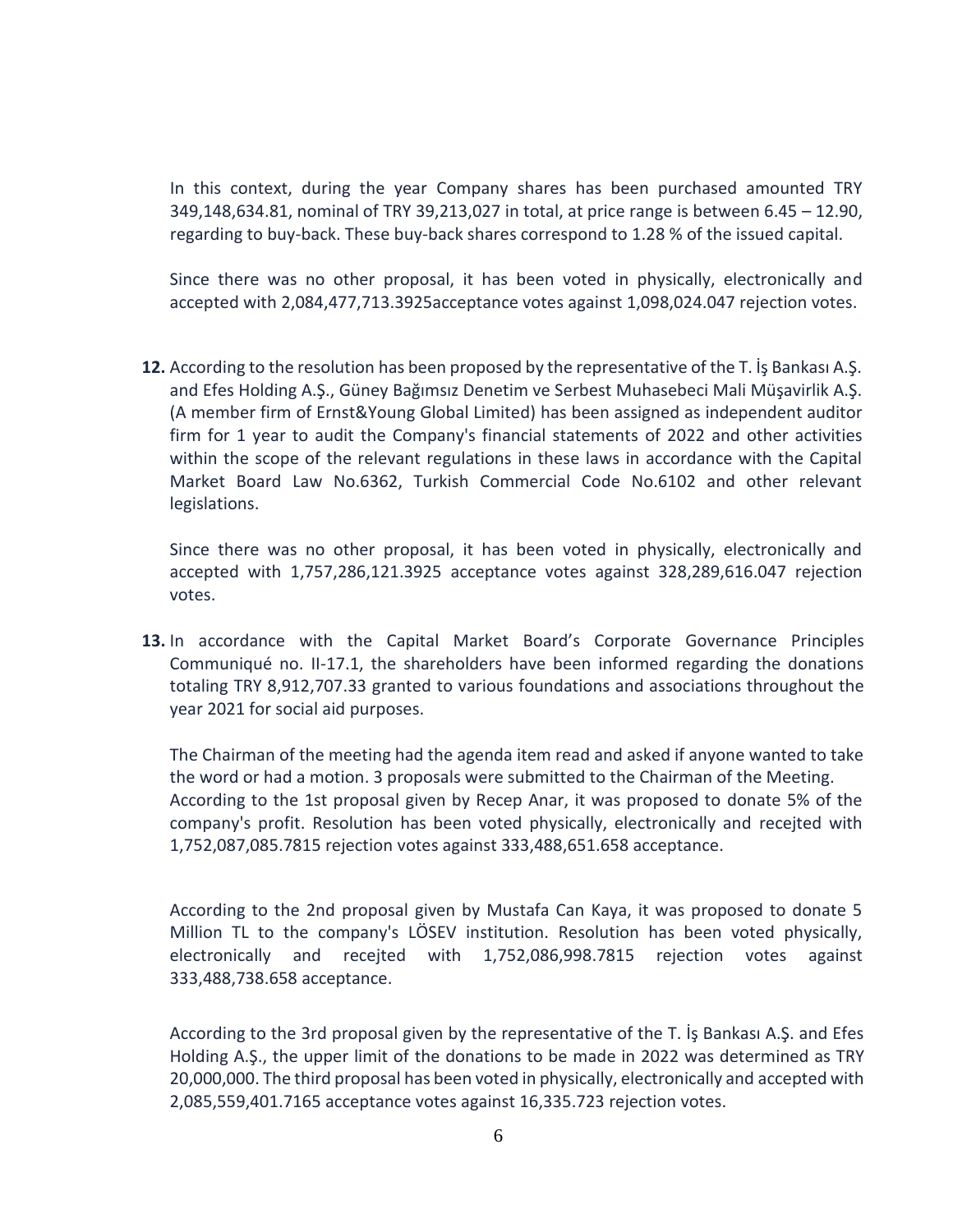In this context, during the year Company shares has been purchased amounted TRY 349,148,634.81, nominal of TRY 39,213,027 in total, at price range is between 6.45 – 12.90, regarding to buy-back. These buy-back shares correspond to 1.28 % of the issued capital.

Since there was no other proposal, it has been voted in physically, electronically and accepted with 2,084,477,713.3925acceptance votes against 1,098,024.047 rejection votes.

**12.** According to the resolution has been proposed by the representative of the T. İş Bankası A.Ş. and Efes Holding A.Ş., Güney Bağımsız Denetim ve Serbest Muhasebeci Mali Müşavirlik A.Ş. (A member firm of Ernst&Young Global Limited) has been assigned as independent auditor firm for 1 year to audit the Company's financial statements of 2022 and other activities within the scope of the relevant regulations in these laws in accordance with the Capital Market Board Law No.6362, Turkish Commercial Code No.6102 and other relevant legislations.

Since there was no other proposal, it has been voted in physically, electronically and accepted with 1,757,286,121.3925 acceptance votes against 328,289,616.047 rejection votes.

**13.** In accordance with the Capital Market Board's Corporate Governance Principles Communiqué no. II-17.1, the shareholders have been informed regarding the donations totaling TRY 8,912,707.33 granted to various foundations and associations throughout the year 2021 for social aid purposes.

The Chairman of the meeting had the agenda item read and asked if anyone wanted to take the word or had a motion. 3 proposals were submitted to the Chairman of the Meeting. According to the 1st proposal given by Recep Anar, it was proposed to donate 5% of the company's profit. Resolution has been voted physically, electronically and recejted with 1,752,087,085.7815 rejection votes against 333,488,651.658 acceptance.

According to the 2nd proposal given by Mustafa Can Kaya, it was proposed to donate 5 Million TL to the company's LÖSEV institution. Resolution has been voted physically, electronically and recejted with 1,752,086,998.7815 rejection votes against 333,488,738.658 acceptance.

According to the 3rd proposal given by the representative of the T. İş Bankası A.Ş. and Efes Holding A.Ş., the upper limit of the donations to be made in 2022 was determined as TRY 20,000,000. The third proposal has been voted in physically, electronically and accepted with 2,085,559,401.7165 acceptance votes against 16,335.723 rejection votes.